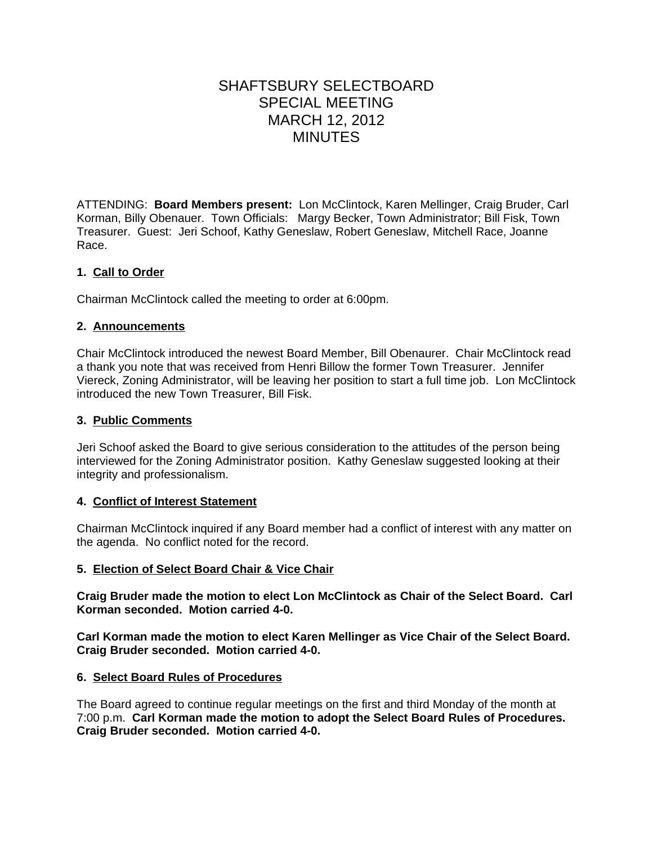# SHAFTSBURY SELECTBOARD SPECIAL MEETING MARCH 12, 2012 MINUTES

ATTENDING: **Board Members present:** Lon McClintock, Karen Mellinger, Craig Bruder, Carl Korman, Billy Obenauer. Town Officials: Margy Becker, Town Administrator; Bill Fisk, Town Treasurer. Guest: Jeri Schoof, Kathy Geneslaw, Robert Geneslaw, Mitchell Race, Joanne Race.

# **1. Call to Order**

Chairman McClintock called the meeting to order at 6:00pm.

# **2. Announcements**

Chair McClintock introduced the newest Board Member, Bill Obenaurer. Chair McClintock read a thank you note that was received from Henri Billow the former Town Treasurer. Jennifer Viereck, Zoning Administrator, will be leaving her position to start a full time job. Lon McClintock introduced the new Town Treasurer, Bill Fisk.

## **3. Public Comments**

Jeri Schoof asked the Board to give serious consideration to the attitudes of the person being interviewed for the Zoning Administrator position. Kathy Geneslaw suggested looking at their integrity and professionalism.

# **4. Conflict of Interest Statement**

Chairman McClintock inquired if any Board member had a conflict of interest with any matter on the agenda. No conflict noted for the record.

#### **5. Election of Select Board Chair & Vice Chair**

**Craig Bruder made the motion to elect Lon McClintock as Chair of the Select Board. Carl Korman seconded. Motion carried 4-0.**

**Carl Korman made the motion to elect Karen Mellinger as Vice Chair of the Select Board. Craig Bruder seconded. Motion carried 4-0.**

#### **6. Select Board Rules of Procedures**

The Board agreed to continue regular meetings on the first and third Monday of the month at 7:00 p.m. **Carl Korman made the motion to adopt the Select Board Rules of Procedures. Craig Bruder seconded. Motion carried 4-0.**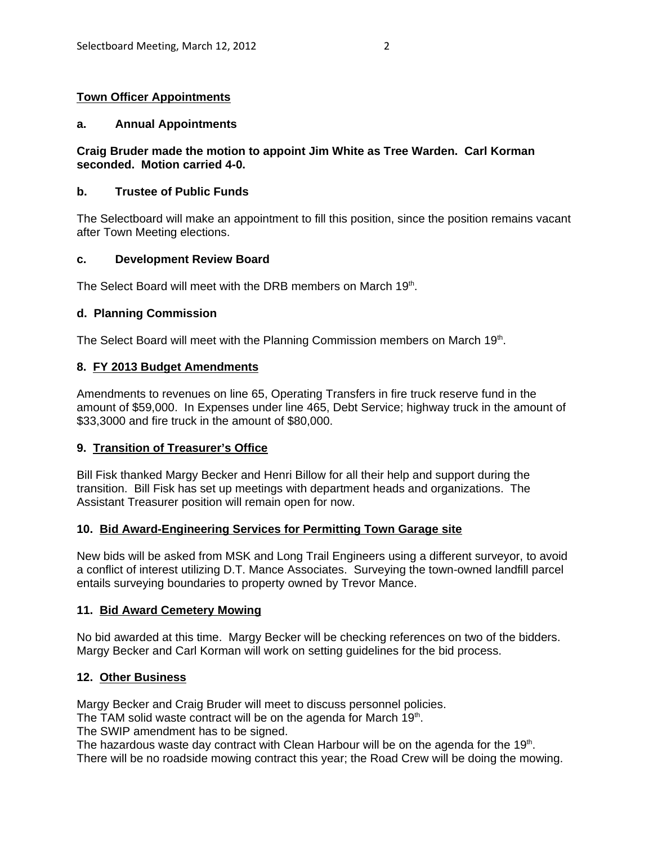# **Town Officer Appointments**

#### **a. Annual Appointments**

## **Craig Bruder made the motion to appoint Jim White as Tree Warden. Carl Korman seconded. Motion carried 4-0.**

## **b. Trustee of Public Funds**

The Selectboard will make an appointment to fill this position, since the position remains vacant after Town Meeting elections.

## **c. Development Review Board**

The Select Board will meet with the DRB members on March 19th.

## **d. Planning Commission**

The Select Board will meet with the Planning Commission members on March 19th.

## **8. FY 2013 Budget Amendments**

Amendments to revenues on line 65, Operating Transfers in fire truck reserve fund in the amount of \$59,000. In Expenses under line 465, Debt Service; highway truck in the amount of \$33,3000 and fire truck in the amount of \$80,000.

# **9. Transition of Treasurer's Office**

Bill Fisk thanked Margy Becker and Henri Billow for all their help and support during the transition. Bill Fisk has set up meetings with department heads and organizations. The Assistant Treasurer position will remain open for now.

#### **10. Bid Award-Engineering Services for Permitting Town Garage site**

New bids will be asked from MSK and Long Trail Engineers using a different surveyor, to avoid a conflict of interest utilizing D.T. Mance Associates. Surveying the town-owned landfill parcel entails surveying boundaries to property owned by Trevor Mance.

#### **11. Bid Award Cemetery Mowing**

No bid awarded at this time. Margy Becker will be checking references on two of the bidders. Margy Becker and Carl Korman will work on setting guidelines for the bid process.

#### **12. Other Business**

Margy Becker and Craig Bruder will meet to discuss personnel policies.

The TAM solid waste contract will be on the agenda for March 19th.

The SWIP amendment has to be signed.

The hazardous waste day contract with Clean Harbour will be on the agenda for the 19<sup>th</sup>. There will be no roadside mowing contract this year; the Road Crew will be doing the mowing.